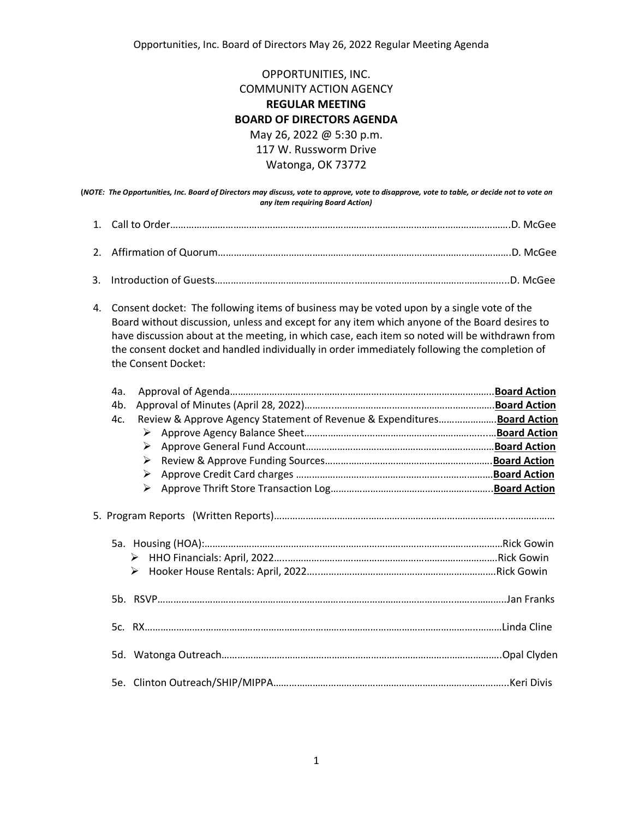Opportunities, Inc. Board of Directors May 26, 2022 Regular Meeting Agenda

OPPORTUNITIES, INC. COMMUNITY ACTION AGENCY **REGULAR MEETING BOARD OF DIRECTORS AGENDA** May 26, 2022 @ 5:30 p.m. 117 W. Russworm Drive Watonga, OK 73772

**(***NOTE: The Opportunities, Inc. Board of Directors may discuss, vote to approve, vote to disapprove, vote to table, or decide not to vote on any item requiring Board Action)*

4. Consent docket: The following items of business may be voted upon by a single vote of the Board without discussion, unless and except for any item which anyone of the Board desires to have discussion about at the meeting, in which case, each item so noted will be withdrawn from the consent docket and handled individually in order immediately following the completion of the Consent Docket:

| 4a. |                                                                          |  |
|-----|--------------------------------------------------------------------------|--|
| 4b. |                                                                          |  |
| 4c. | Review & Approve Agency Statement of Revenue & Expenditures Board Action |  |
|     | ➤                                                                        |  |
|     | ➤                                                                        |  |
|     | ➤                                                                        |  |
|     | ➤                                                                        |  |
|     | $\blacktriangleright$                                                    |  |
|     | ➤<br>➤                                                                   |  |
|     |                                                                          |  |
|     |                                                                          |  |
|     |                                                                          |  |
|     |                                                                          |  |